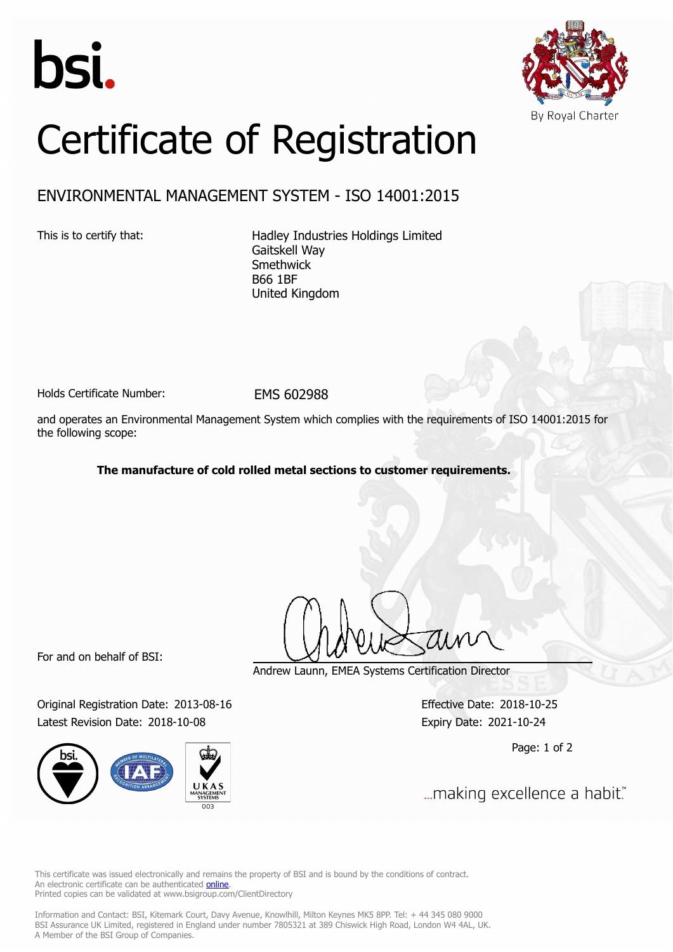



## Certificate of Registration

## ENVIRONMENTAL MANAGEMENT SYSTEM - ISO 14001:2015

This is to certify that: Hadley Industries Holdings Limited Gaitskell Way Smethwick B66 1BF United Kingdom

Holds Certificate Number: EMS 602988

and operates an Environmental Management System which complies with the requirements of ISO 14001:2015 for the following scope:

**The manufacture of cold rolled metal sections to customer requirements.**

For and on behalf of BSI:

Original Registration Date: 2013-08-16 Effective Date: 2018-10-25 Latest Revision Date: 2018-10-08 Expiry Date: 2021-10-24



Andrew Launn, EMEA Systems Certification Director

Page: 1 of 2

... making excellence a habit."

This certificate was issued electronically and remains the property of BSI and is bound by the conditions of contract. An electronic certificate can be authenticated **[online](https://pgplus.bsigroup.com/CertificateValidation/CertificateValidator.aspx?CertificateNumber=EMS+602988&ReIssueDate=08%2f10%2f2018&Template=uk)**. Printed copies can be validated at www.bsigroup.com/ClientDirectory

Information and Contact: BSI, Kitemark Court, Davy Avenue, Knowlhill, Milton Keynes MK5 8PP. Tel: + 44 345 080 9000 BSI Assurance UK Limited, registered in England under number 7805321 at 389 Chiswick High Road, London W4 4AL, UK. A Member of the BSI Group of Companies.